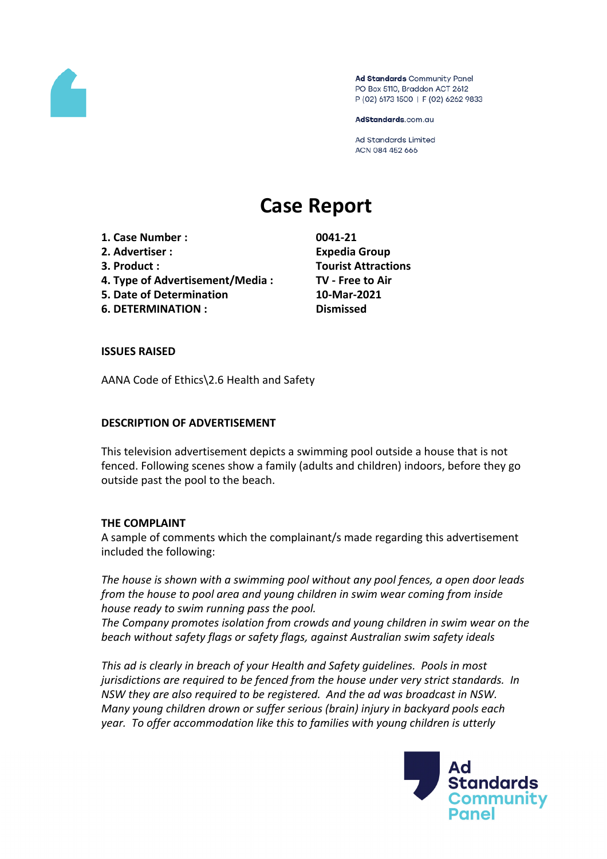

Ad Standards Community Panel PO Box 5110, Braddon ACT 2612 P (02) 6173 1500 | F (02) 6262 9833

AdStandards.com.au

**Ad Standards Limited** ACN 084 452 666

# **Case Report**

- **1. Case Number : 0041-21**
- **2. Advertiser : Expedia Group**
- 
- **4. Type of Advertisement/Media : TV - Free to Air**
- **5. Date of Determination 10-Mar-2021**
- **6. DETERMINATION : Dismissed**

**3. Product : Tourist Attractions**

## **ISSUES RAISED**

AANA Code of Ethics\2.6 Health and Safety

## **DESCRIPTION OF ADVERTISEMENT**

This television advertisement depicts a swimming pool outside a house that is not fenced. Following scenes show a family (adults and children) indoors, before they go outside past the pool to the beach.

#### **THE COMPLAINT**

A sample of comments which the complainant/s made regarding this advertisement included the following:

*The house is shown with a swimming pool without any pool fences, a open door leads from the house to pool area and young children in swim wear coming from inside house ready to swim running pass the pool.*

*The Company promotes isolation from crowds and young children in swim wear on the beach without safety flags or safety flags, against Australian swim safety ideals*

*This ad is clearly in breach of your Health and Safety guidelines. Pools in most jurisdictions are required to be fenced from the house under very strict standards. In NSW they are also required to be registered. And the ad was broadcast in NSW. Many young children drown or suffer serious (brain) injury in backyard pools each year. To offer accommodation like this to families with young children is utterly*

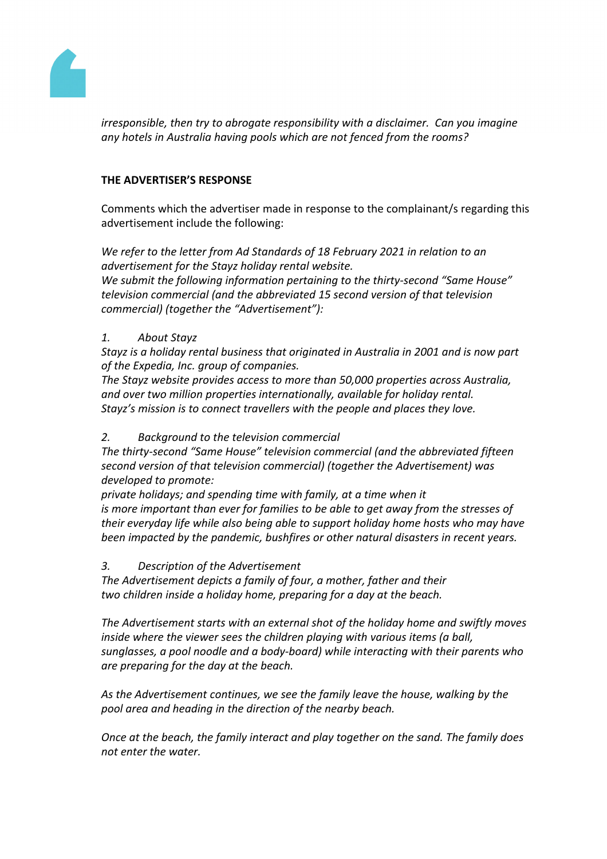

*irresponsible, then try to abrogate responsibility with a disclaimer. Can you imagine any hotels in Australia having pools which are not fenced from the rooms?*

# **THE ADVERTISER'S RESPONSE**

Comments which the advertiser made in response to the complainant/s regarding this advertisement include the following:

*We refer to the letter from Ad Standards of 18 February 2021 in relation to an advertisement for the Stayz holiday rental website. We submit the following information pertaining to the thirty-second "Same House" television commercial (and the abbreviated 15 second version of that television commercial) (together the "Advertisement"):*

# *1. About Stayz*

*Stayz is a holiday rental business that originated in Australia in 2001 and is now part of the Expedia, Inc. group of companies.*

*The Stayz website provides access to more than 50,000 properties across Australia, and over two million properties internationally, available for holiday rental. Stayz's mission is to connect travellers with the people and places they love.*

# *2. Background to the television commercial*

*The thirty-second "Same House" television commercial (and the abbreviated fifteen second version of that television commercial) (together the Advertisement) was developed to promote:*

*private holidays; and spending time with family, at a time when it is more important than ever for families to be able to get away from the stresses of their everyday life while also being able to support holiday home hosts who may have been impacted by the pandemic, bushfires or other natural disasters in recent years.*

# *3. Description of the Advertisement*

*The Advertisement depicts a family of four, a mother, father and their two children inside a holiday home, preparing for a day at the beach.*

*The Advertisement starts with an external shot of the holiday home and swiftly moves inside where the viewer sees the children playing with various items (a ball, sunglasses, a pool noodle and a body-board) while interacting with their parents who are preparing for the day at the beach.*

*As the Advertisement continues, we see the family leave the house, walking by the pool area and heading in the direction of the nearby beach.*

*Once at the beach, the family interact and play together on the sand. The family does not enter the water.*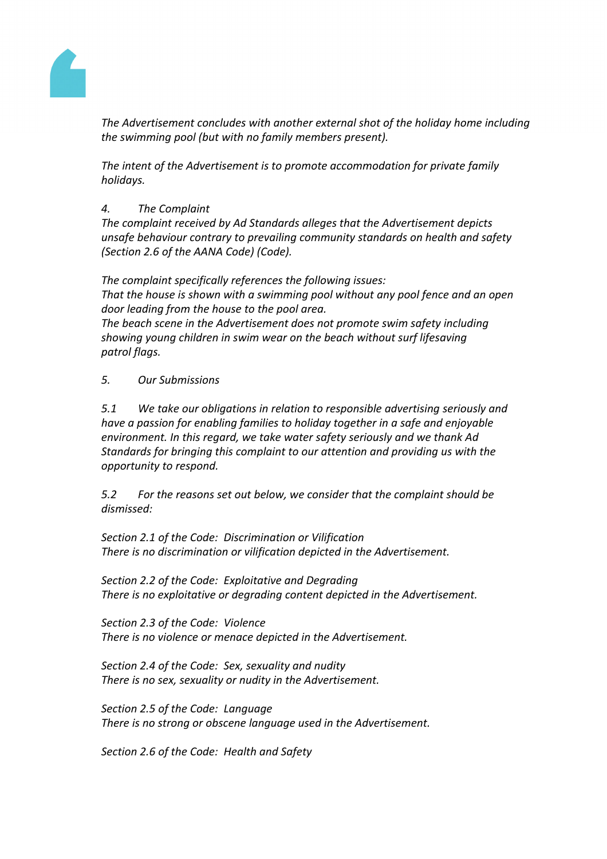

*The Advertisement concludes with another external shot of the holiday home including the swimming pool (but with no family members present).*

*The intent of the Advertisement is to promote accommodation for private family holidays.*

# *4. The Complaint*

*The complaint received by Ad Standards alleges that the Advertisement depicts unsafe behaviour contrary to prevailing community standards on health and safety (Section 2.6 of the AANA Code) (Code).*

*The complaint specifically references the following issues: That the house is shown with a swimming pool without any pool fence and an open door leading from the house to the pool area. The beach scene in the Advertisement does not promote swim safety including showing young children in swim wear on the beach without surf lifesaving patrol flags.*

*5. Our Submissions*

*5.1 We take our obligations in relation to responsible advertising seriously and have a passion for enabling families to holiday together in a safe and enjoyable environment. In this regard, we take water safety seriously and we thank Ad Standards for bringing this complaint to our attention and providing us with the opportunity to respond.*

*5.2 For the reasons set out below, we consider that the complaint should be dismissed:*

*Section 2.1 of the Code: Discrimination or Vilification There is no discrimination or vilification depicted in the Advertisement.*

*Section 2.2 of the Code: Exploitative and Degrading There is no exploitative or degrading content depicted in the Advertisement.*

*Section 2.3 of the Code: Violence There is no violence or menace depicted in the Advertisement.*

*Section 2.4 of the Code: Sex, sexuality and nudity There is no sex, sexuality or nudity in the Advertisement.*

*Section 2.5 of the Code: Language There is no strong or obscene language used in the Advertisement.*

*Section 2.6 of the Code: Health and Safety*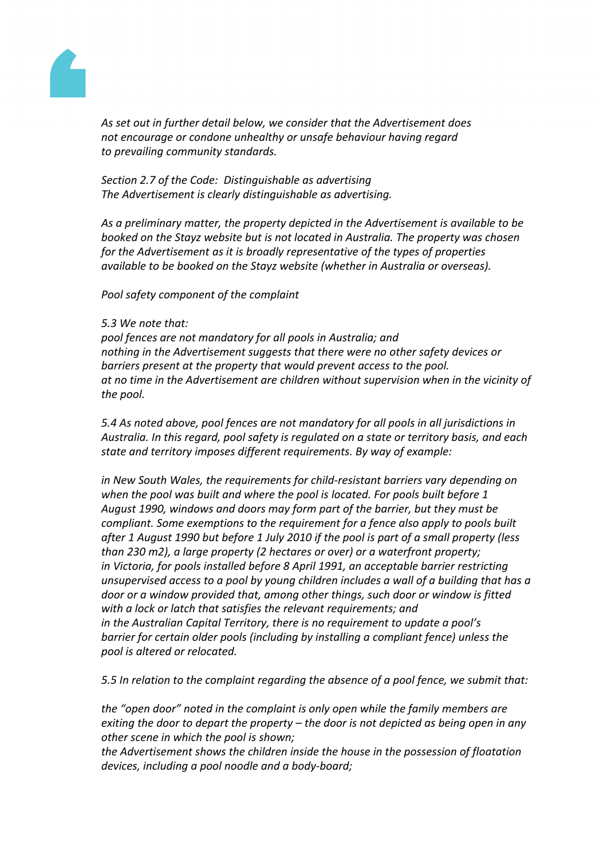

*As set out in further detail below, we consider that the Advertisement does not encourage or condone unhealthy or unsafe behaviour having regard to prevailing community standards.*

*Section 2.7 of the Code: Distinguishable as advertising The Advertisement is clearly distinguishable as advertising.*

*As a preliminary matter, the property depicted in the Advertisement is available to be booked on the Stayz website but is not located in Australia. The property was chosen for the Advertisement as it is broadly representative of the types of properties available to be booked on the Stayz website (whether in Australia or overseas).*

*Pool safety component of the complaint*

#### *5.3 We note that:*

*pool fences are not mandatory for all pools in Australia; and nothing in the Advertisement suggests that there were no other safety devices or barriers present at the property that would prevent access to the pool. at no time in the Advertisement are children without supervision when in the vicinity of the pool.*

*5.4 As noted above, pool fences are not mandatory for all pools in all jurisdictions in Australia. In this regard, pool safety is regulated on a state or territory basis, and each state and territory imposes different requirements. By way of example:*

*in New South Wales, the requirements for child-resistant barriers vary depending on when the pool was built and where the pool is located. For pools built before 1 August 1990, windows and doors may form part of the barrier, but they must be compliant. Some exemptions to the requirement for a fence also apply to pools built after 1 August 1990 but before 1 July 2010 if the pool is part of a small property (less than 230 m2), a large property (2 hectares or over) or a waterfront property; in Victoria, for pools installed before 8 April 1991, an acceptable barrier restricting unsupervised access to a pool by young children includes a wall of a building that has a door or a window provided that, among other things, such door or window is fitted with a lock or latch that satisfies the relevant requirements; and in the Australian Capital Territory, there is no requirement to update a pool's barrier for certain older pools (including by installing a compliant fence) unless the pool is altered or relocated.*

*5.5 In relation to the complaint regarding the absence of a pool fence, we submit that:*

*the "open door" noted in the complaint is only open while the family members are exiting the door to depart the property – the door is not depicted as being open in any other scene in which the pool is shown;*

*the Advertisement shows the children inside the house in the possession of floatation devices, including a pool noodle and a body-board;*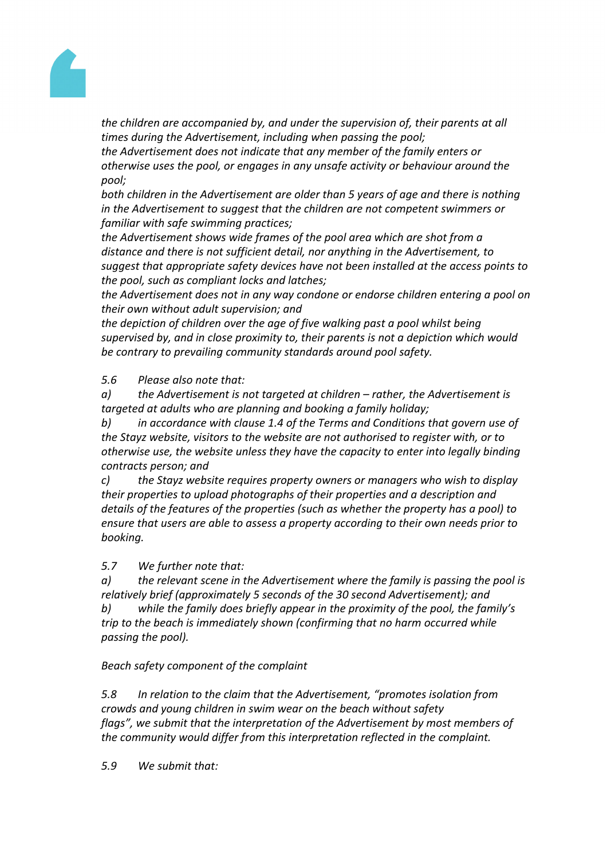

*the children are accompanied by, and under the supervision of, their parents at all times during the Advertisement, including when passing the pool;*

*the Advertisement does not indicate that any member of the family enters or otherwise uses the pool, or engages in any unsafe activity or behaviour around the pool;*

*both children in the Advertisement are older than 5 years of age and there is nothing in the Advertisement to suggest that the children are not competent swimmers or familiar with safe swimming practices;*

*the Advertisement shows wide frames of the pool area which are shot from a distance and there is not sufficient detail, nor anything in the Advertisement, to suggest that appropriate safety devices have not been installed at the access points to the pool, such as compliant locks and latches;*

*the Advertisement does not in any way condone or endorse children entering a pool on their own without adult supervision; and*

*the depiction of children over the age of five walking past a pool whilst being supervised by, and in close proximity to, their parents is not a depiction which would be contrary to prevailing community standards around pool safety.*

*5.6 Please also note that:*

*a) the Advertisement is not targeted at children – rather, the Advertisement is targeted at adults who are planning and booking a family holiday;*

*b) in accordance with clause 1.4 of the Terms and Conditions that govern use of the Stayz website, visitors to the website are not authorised to register with, or to otherwise use, the website unless they have the capacity to enter into legally binding contracts person; and*

*c) the Stayz website requires property owners or managers who wish to display their properties to upload photographs of their properties and a description and details of the features of the properties (such as whether the property has a pool) to ensure that users are able to assess a property according to their own needs prior to booking.*

*5.7 We further note that:*

*a) the relevant scene in the Advertisement where the family is passing the pool is relatively brief (approximately 5 seconds of the 30 second Advertisement); and*

*b) while the family does briefly appear in the proximity of the pool, the family's trip to the beach is immediately shown (confirming that no harm occurred while passing the pool).*

*Beach safety component of the complaint*

*5.8 In relation to the claim that the Advertisement, "promotes isolation from crowds and young children in swim wear on the beach without safety flags", we submit that the interpretation of the Advertisement by most members of the community would differ from this interpretation reflected in the complaint.*

*5.9 We submit that:*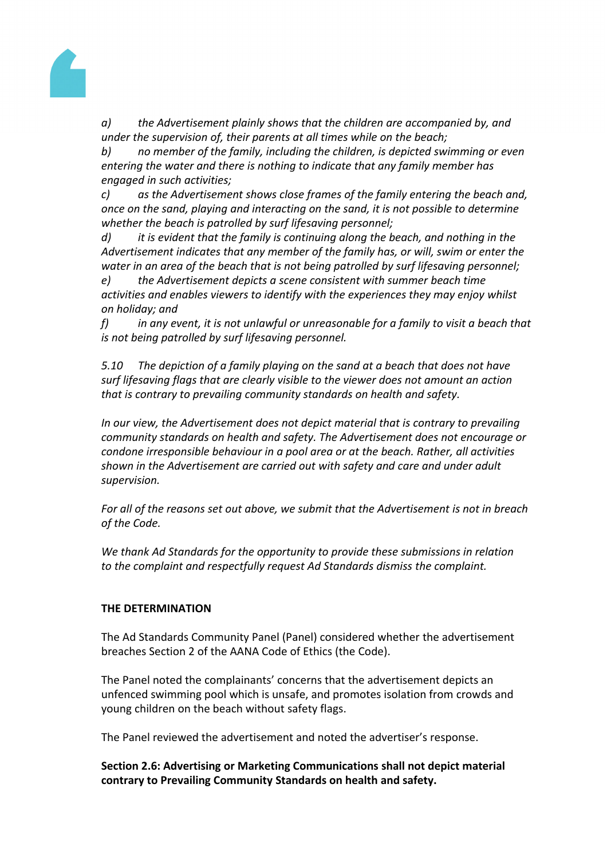

*a) the Advertisement plainly shows that the children are accompanied by, and under the supervision of, their parents at all times while on the beach;*

*b) no member of the family, including the children, is depicted swimming or even entering the water and there is nothing to indicate that any family member has engaged in such activities;*

*c) as the Advertisement shows close frames of the family entering the beach and, once on the sand, playing and interacting on the sand, it is not possible to determine whether the beach is patrolled by surf lifesaving personnel;*

*d) it is evident that the family is continuing along the beach, and nothing in the Advertisement indicates that any member of the family has, or will, swim or enter the water in an area of the beach that is not being patrolled by surf lifesaving personnel;*

*e) the Advertisement depicts a scene consistent with summer beach time activities and enables viewers to identify with the experiences they may enjoy whilst on holiday; and*

*f) in any event, it is not unlawful or unreasonable for a family to visit a beach that is not being patrolled by surf lifesaving personnel.*

*5.10 The depiction of a family playing on the sand at a beach that does not have surf lifesaving flags that are clearly visible to the viewer does not amount an action that is contrary to prevailing community standards on health and safety.*

*In our view, the Advertisement does not depict material that is contrary to prevailing community standards on health and safety. The Advertisement does not encourage or condone irresponsible behaviour in a pool area or at the beach. Rather, all activities shown in the Advertisement are carried out with safety and care and under adult supervision.*

*For all of the reasons set out above, we submit that the Advertisement is not in breach of the Code.*

*We thank Ad Standards for the opportunity to provide these submissions in relation to the complaint and respectfully request Ad Standards dismiss the complaint.*

# **THE DETERMINATION**

The Ad Standards Community Panel (Panel) considered whether the advertisement breaches Section 2 of the AANA Code of Ethics (the Code).

The Panel noted the complainants' concerns that the advertisement depicts an unfenced swimming pool which is unsafe, and promotes isolation from crowds and young children on the beach without safety flags.

The Panel reviewed the advertisement and noted the advertiser's response.

**Section 2.6: Advertising or Marketing Communications shall not depict material contrary to Prevailing Community Standards on health and safety.**